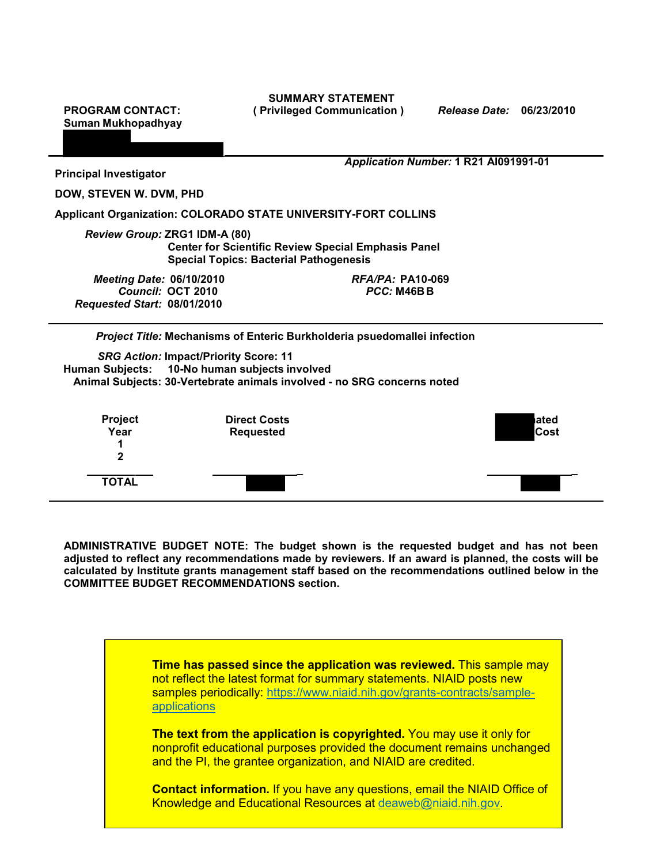**Suman Mukhopadhyay** 

**SUMMARY STATEMENT PROGRAM CONTACT: ( Privileged Communication )** *Release Date:* **06/23/2010** 

|                                                                       |                                                                                                                                                          | Application Number: 1 R21 Al091991-01    |              |
|-----------------------------------------------------------------------|----------------------------------------------------------------------------------------------------------------------------------------------------------|------------------------------------------|--------------|
| <b>Principal Investigator</b>                                         |                                                                                                                                                          |                                          |              |
| DOW, STEVEN W. DVM, PHD                                               |                                                                                                                                                          |                                          |              |
| <b>Applicant Organization: COLORADO STATE UNIVERSITY-FORT COLLINS</b> |                                                                                                                                                          |                                          |              |
|                                                                       | Review Group: ZRG1 IDM-A (80)<br><b>Center for Scientific Review Special Emphasis Panel</b><br><b>Special Topics: Bacterial Pathogenesis</b>             |                                          |              |
| <b>Meeting Date: 06/10/2010</b><br>Requested Start: 08/01/2010        | Council: OCT 2010                                                                                                                                        | $RFA/PA$ : PA10-069<br><b>PCC: M46BB</b> |              |
|                                                                       | Project Title: Mechanisms of Enteric Burkholderia psuedomallei infection                                                                                 |                                          |              |
| <b>Human Subjects:</b>                                                | <b>SRG Action: Impact/Priority Score: 11</b><br>10-No human subjects involved<br>Animal Subjects: 30-Vertebrate animals involved - no SRG concerns noted |                                          |              |
| Project<br>Year<br>1<br>$\mathbf{2}$                                  | <b>Direct Costs</b><br><b>Requested</b>                                                                                                                  |                                          | ated<br>Cost |
| <b>TOTAL</b>                                                          |                                                                                                                                                          |                                          |              |

 **adjusted to reflect any recommendations made by reviewers. If an award is planned, the costs will be calculated by Institute grants management staff based on the recommendations outlined below in the ADMINISTRATIVE BUDGET NOTE: The budget shown is the requested budget and has not been COMMITTEE BUDGET RECOMMENDATIONS section.** 

> not reflect the latest format for summary statements. NIAID posts new **Time has passed since the application was reviewed.** This sample may samples periodically: [https://www.niaid.nih.gov/grants-contracts/sample](https://www.niaid.nih.gov/grants-contracts/sample-applications)[applications](https://www.niaid.nih.gov/grants-contracts/sample-applications)

> **The text from the application is copyrighted.** You may use it only for nonprofit educational purposes provided the document remains unchanged and the PI, the grantee organization, and NIAID are credited.

> **Contact information.** If you have any questions, email the NIAID Office of Knowledge and Educational Resources at [deaweb@niaid.nih.gov.](mailto:deaweb@niaid.nih.gov)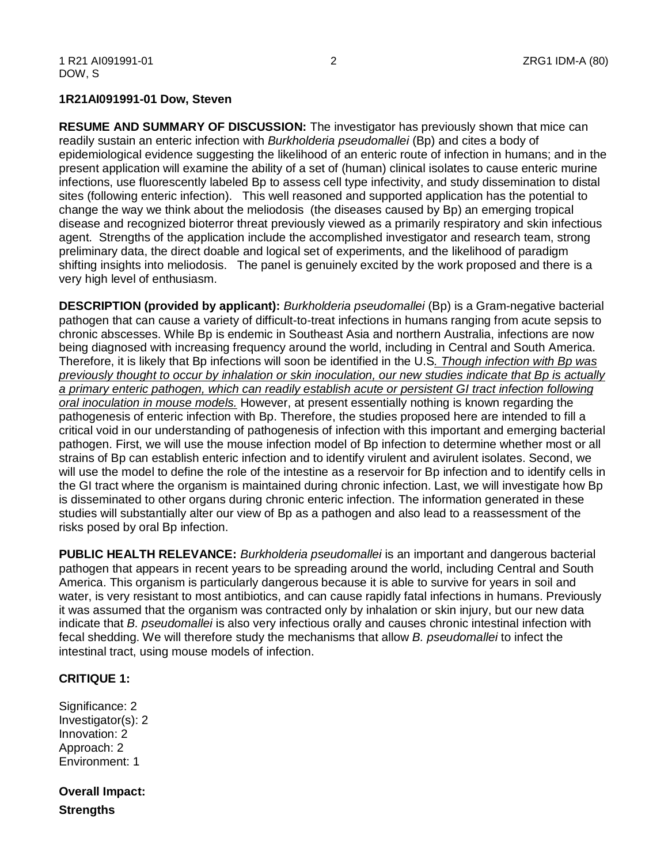## **1R21AI091991-01 Dow, Steven**

 readily sustain an enteric infection with *Burkholderia pseudomallei* (Bp) and cites a body of infections, use fluorescently labeled Bp to assess cell type infectivity, and study dissemination to distal agent. Strengths of the application include the accomplished investigator and research team, strong very high level of enthusiasm. **RESUME AND SUMMARY OF DISCUSSION:** The investigator has previously shown that mice can epidemiological evidence suggesting the likelihood of an enteric route of infection in humans; and in the present application will examine the ability of a set of (human) clinical isolates to cause enteric murine sites (following enteric infection). This well reasoned and supported application has the potential to change the way we think about the meliodosis (the diseases caused by Bp) an emerging tropical disease and recognized bioterror threat previously viewed as a primarily respiratory and skin infectious preliminary data, the direct doable and logical set of experiments, and the likelihood of paradigm shifting insights into meliodosis. The panel is genuinely excited by the work proposed and there is a

 pathogen that can cause a variety of difficult-to-treat infections in humans ranging from acute sepsis to chronic abscesses. While Bp is endemic in Southeast Asia and northern Australia, infections are now being diagnosed with increasing frequency around the world, including in Central and South America.  Therefore, it is likely that Bp infections will soon be identified in the U.S*. Though infection with Bp was a primary enteric pathogen, which can readily establish acute or persistent GI tract infection following*  pathogenesis of enteric infection with Bp. Therefore, the studies proposed here are intended to fill a critical void in our understanding of pathogenesis of infection with this important and emerging bacterial pathogen. First, we will use the mouse infection model of Bp infection to determine whether most or all strains of Bp can establish enteric infection and to identify virulent and avirulent isolates. Second, we will use the model to define the role of the intestine as a reservoir for Bp infection and to identify cells in is disseminated to other organs during chronic enteric infection. The information generated in these risks posed by oral Bp infection. **DESCRIPTION (provided by applicant):** *Burkholderia pseudomallei* (Bp) is a Gram-negative bacterial *previously thought to occur by inhalation or skin inoculation, our new studies indicate that Bp is actually oral inoculation in mouse models.* However, at present essentially nothing is known regarding the the GI tract where the organism is maintained during chronic infection. Last, we will investigate how Bp studies will substantially alter our view of Bp as a pathogen and also lead to a reassessment of the

 water, is very resistant to most antibiotics, and can cause rapidly fatal infections in humans. Previously **PUBLIC HEALTH RELEVANCE:** *Burkholderia pseudomallei* is an important and dangerous bacterial pathogen that appears in recent years to be spreading around the world, including Central and South America. This organism is particularly dangerous because it is able to survive for years in soil and it was assumed that the organism was contracted only by inhalation or skin injury, but our new data indicate that *B. pseudomallei* is also very infectious orally and causes chronic intestinal infection with fecal shedding. We will therefore study the mechanisms that allow *B. pseudomallei* to infect the intestinal tract, using mouse models of infection.

## **CRITIQUE 1:**

Significance: 2 Investigator(s): 2 Innovation: 2 Approach: 2 Environment: 1

**Overall Impact: Strengths**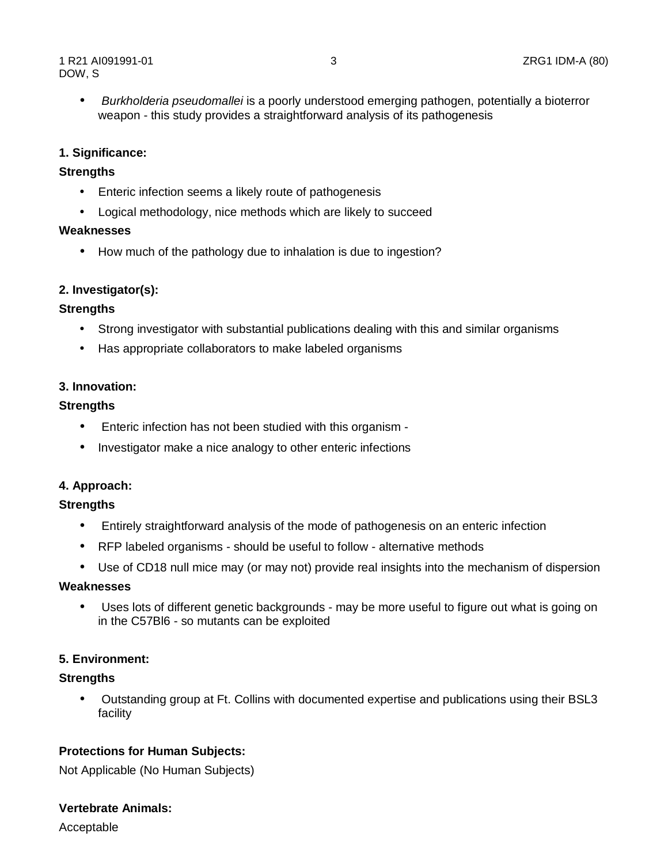• *Burkholderia pseudomallei* is a poorly understood emerging pathogen, potentially a bioterror weapon - this study provides a straightforward analysis of its pathogenesis

## **1. Significance:**

## **Strengths**

- Enteric infection seems a likely route of pathogenesis
- Logical methodology, nice methods which are likely to succeed

#### **Weaknesses**

• How much of the pathology due to inhalation is due to ingestion?

## **2. Investigator(s):**

## **Strengths**

- Strong investigator with substantial publications dealing with this and similar organisms
- Has appropriate collaborators to make labeled organisms

## **3. Innovation:**

## **Strengths**

- Enteric infection has not been studied with this organism -
- Investigator make a nice analogy to other enteric infections

## **4. Approach:**

#### **Strengths**

- Entirely straightforward analysis of the mode of pathogenesis on an enteric infection
- RFP labeled organisms should be useful to follow alternative methods
- Use of CD18 null mice may (or may not) provide real insights into the mechanism of dispersion

## **Weaknesses**

 • Uses lots of different genetic backgrounds - may be more useful to figure out what is going on in the C57Bl6 - so mutants can be exploited

## **5. Environment:**

## **Strengths**

 • Outstanding group at Ft. Collins with documented expertise and publications using their BSL3 facility

## **Protections for Human Subjects:**

Not Applicable (No Human Subjects)

## **Vertebrate Animals:**

Acceptable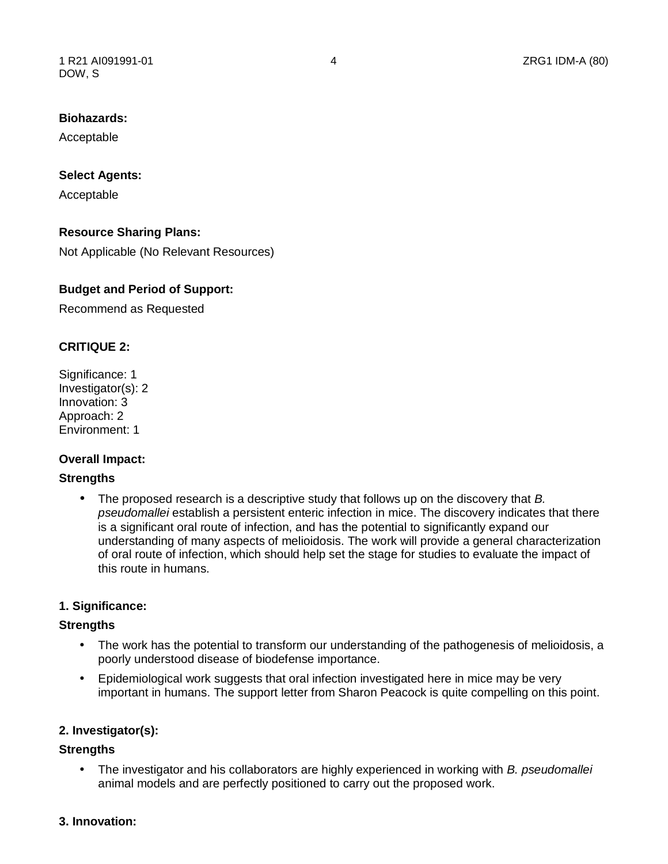# **Biohazards:**

Acceptable

## **Select Agents:**

Acceptable

## **Resource Sharing Plans:**

Not Applicable (No Relevant Resources)

## **Budget and Period of Support:**

Recommend as Requested

## **CRITIQUE 2:**

Significance: 1 Investigator(s): 2 Innovation: 3 Approach: 2 Environment: 1

## **Overall Impact:**

#### **Strengths**

• The proposed research is a descriptive study that follows up on the discovery that *B. pseudomallei* establish a persistent enteric infection in mice. The discovery indicates that there is a significant oral route of infection, and has the potential to significantly expand our understanding of many aspects of melioidosis. The work will provide a general characterization of oral route of infection, which should help set the stage for studies to evaluate the impact of this route in humans.

#### **1. Significance:**

#### **Strengths**

- • The work has the potential to transform our understanding of the pathogenesis of melioidosis, a poorly understood disease of biodefense importance.
- • Epidemiological work suggests that oral infection investigated here in mice may be very important in humans. The support letter from Sharon Peacock is quite compelling on this point.

#### **2. Investigator(s):**

## **Strengths**

• The investigator and his collaborators are highly experienced in working with *B. pseudomallei*  animal models and are perfectly positioned to carry out the proposed work.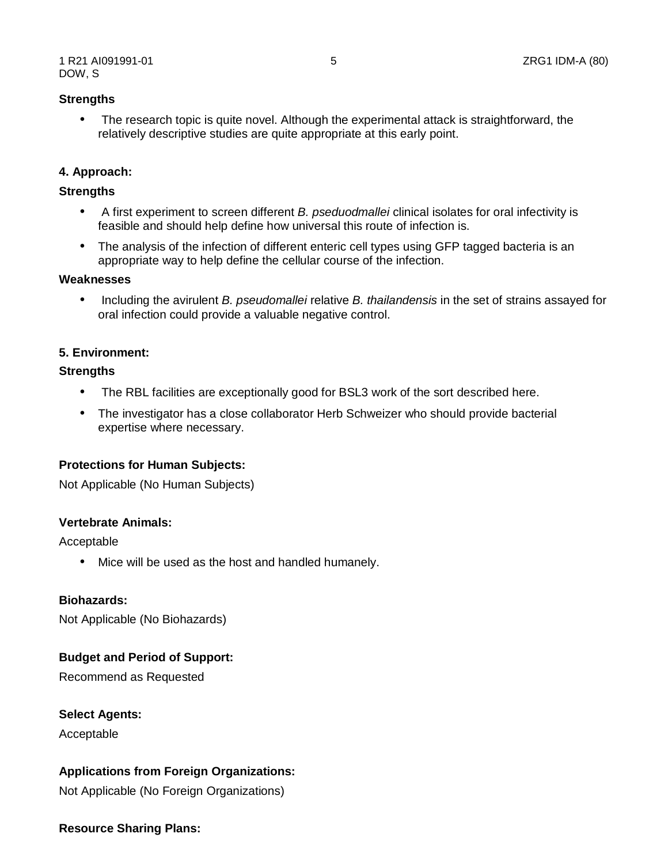## **Strengths**

 • The research topic is quite novel. Although the experimental attack is straightforward, the relatively descriptive studies are quite appropriate at this early point.

## **4. Approach:**

#### **Strengths**

- • A first experiment to screen different *B. pseduodmallei* clinical isolates for oral infectivity is feasible and should help define how universal this route of infection is.
- The analysis of the infection of different enteric cell types using GFP tagged bacteria is an appropriate way to help define the cellular course of the infection.

#### **Weaknesses**

• Including the avirulent *B. pseudomallei* relative *B. thailandensis* in the set of strains assayed for oral infection could provide a valuable negative control.

#### **5. Environment:**

#### **Strengths**

- The RBL facilities are exceptionally good for BSL3 work of the sort described here.
- The investigator has a close collaborator Herb Schweizer who should provide bacterial expertise where necessary.

#### **Protections for Human Subjects:**

Not Applicable (No Human Subjects)

#### **Vertebrate Animals:**

Acceptable

• Mice will be used as the host and handled humanely.

#### **Biohazards:**

Not Applicable (No Biohazards)

#### **Budget and Period of Support:**

Recommend as Requested

#### **Select Agents:**

Acceptable

## **Applications from Foreign Organizations:**

Not Applicable (No Foreign Organizations)

#### **Resource Sharing Plans:**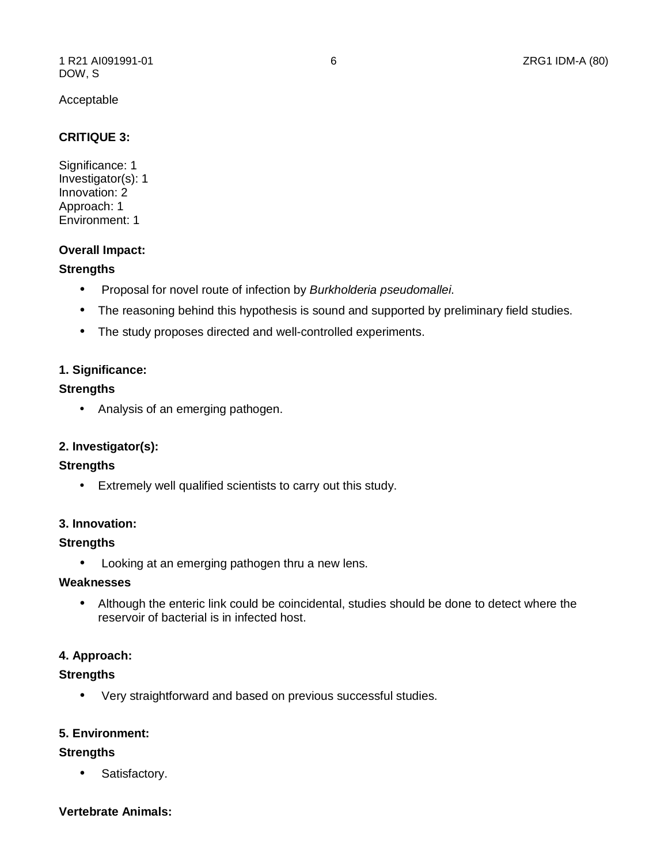#### Acceptable

## **CRITIQUE 3:**

Significance: 1 Investigator(s): 1 Innovation: 2 Approach: 1 Environment: 1

#### **Overall Impact:**

#### **Strengths**

- Proposal for novel route of infection by *Burkholderia pseudomallei*.
- The reasoning behind this hypothesis is sound and supported by preliminary field studies.
- The study proposes directed and well-controlled experiments.

## **1. Significance:**

## **Strengths**

• Analysis of an emerging pathogen.

## **2. Investigator(s):**

#### **Strengths**

• Extremely well qualified scientists to carry out this study.

#### **3. Innovation:**

#### **Strengths**

• Looking at an emerging pathogen thru a new lens.

## **Weaknesses**

 • Although the enteric link could be coincidental, studies should be done to detect where the reservoir of bacterial is in infected host.

#### **4. Approach:**

#### **Strengths**

• Very straightforward and based on previous successful studies.

#### **5. Environment:**

#### **Strengths**

• Satisfactory.

#### **Vertebrate Animals:**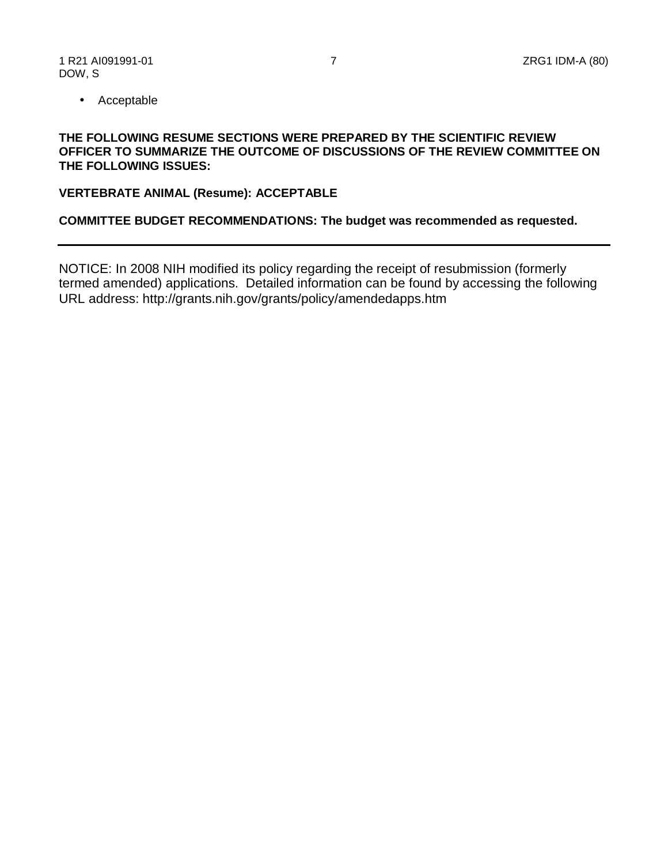• Acceptable

## **OFFICER TO SUMMARIZE THE OUTCOME OF DISCUSSIONS OF THE REVIEW COMMITTEE ON THE FOLLOWING RESUME SECTIONS WERE PREPARED BY THE SCIENTIFIC REVIEW THE FOLLOWING ISSUES:**

#### **VERTEBRATE ANIMAL (Resume): ACCEPTABLE**

## **COMMITTEE BUDGET RECOMMENDATIONS: The budget was recommended as requested.**

NOTICE: In 2008 NIH modified its policy regarding the receipt of resubmission (formerly termed amended) applications. Detailed information can be found by accessing the following URL address: <http://grants.nih.gov/grants/policy/amendedapps.htm>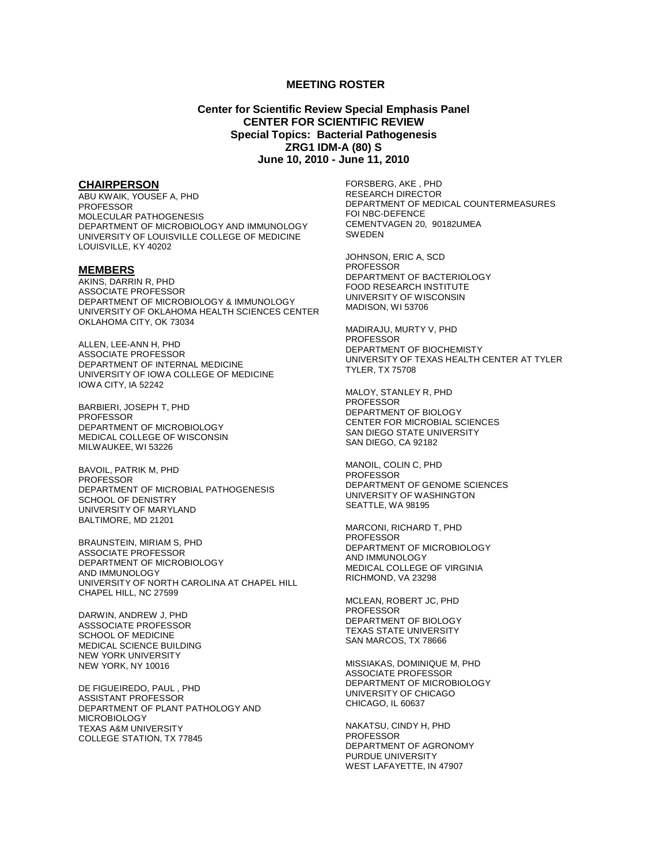#### **MEETING ROSTER**

#### **Center for Scientific Review Special Emphasis Panel CENTER FOR SCIENTIFIC REVIEW Special Topics: Bacterial Pathogenesis ZRG1 IDM-A (80) S June 10, 2010 - June 11, 2010**

#### **CHAIRPERSON**

ABU KWAIK, YOUSEF A, PHD PROFESSOR MOLECULAR PATHOGENESIS DEPARTMENT OF MICROBIOLOGY AND IMMUNOLOGY UNIVERSITY OF LOUISVILLE COLLEGE OF MEDICINE LOUISVILLE, KY 40202

#### **MEMBERS**

AKINS, DARRIN R, PHD ASSOCIATE PROFESSOR DEPARTMENT OF MICROBIOLOGY & IMMUNOLOGY UNIVERSITY OF OKLAHOMA HEALTH SCIENCES CENTER OKLAHOMA CITY, OK 73034

ALLEN, LEE-ANN H, PHD ASSOCIATE PROFESSOR DEPARTMENT OF INTERNAL MEDICINE UNIVERSITY OF IOWA COLLEGE OF MEDICINE IOWA CITY, IA 52242

BARBIERI, JOSEPH T, PHD PROFESSOR DEPARTMENT OF MICROBIOLOGY MEDICAL COLLEGE OF WISCONSIN MILWAUKEE, WI 53226

BAVOIL, PATRIK M, PHD PROFESSOR DEPARTMENT OF MICROBIAL PATHOGENESIS SCHOOL OF DENISTRY UNIVERSITY OF MARYLAND BALTIMORE, MD 21201

BRAUNSTEIN, MIRIAM S, PHD ASSOCIATE PROFESSOR DEPARTMENT OF MICROBIOLOGY AND IMMUNOLOGY UNIVERSITY OF NORTH CAROLINA AT CHAPEL HILL CHAPEL HILL, NC 27599

DARWIN, ANDREW J, PHD ASSSOCIATE PROFESSOR SCHOOL OF MEDICINE MEDICAL SCIENCE BUILDING NEW YORK UNIVERSITY NEW YORK, NY 10016

 DE FIGUEIREDO, PAUL , PHD ASSISTANT PROFESSOR DEPARTMENT OF PLANT PATHOLOGY AND MICROBIOLOGY TEXAS A&M UNIVERSITY COLLEGE STATION, TX 77845

FORSBERG, AKE , PHD RESEARCH DIRECTOR DEPARTMENT OF MEDICAL COUNTERMEASURES FOI NBC-DEFENCE CEMENTVAGEN 20, 90182UMEA **SWEDEN** 

JOHNSON, ERIC A, SCD PROFESSOR DEPARTMENT OF BACTERIOLOGY FOOD RESEARCH INSTITUTE UNIVERSITY OF WISCONSIN MADISON, WI 53706

MADIRAJU, MURTY V, PHD PROFESSOR DEPARTMENT OF BIOCHEMISTY UNIVERSITY OF TEXAS HEALTH CENTER AT TYLER TYLER, TX 75708

MALOY, STANLEY R, PHD PROFESSOR DEPARTMENT OF BIOLOGY CENTER FOR MICROBIAL SCIENCES SAN DIEGO STATE UNIVERSITY SAN DIEGO, CA 92182

MANOIL, COLIN C, PHD PROFESSOR DEPARTMENT OF GENOME SCIENCES UNIVERSITY OF WASHINGTON SEATTLE, WA 98195

MARCONI, RICHARD T, PHD PROFESSOR DEPARTMENT OF MICROBIOLOGY AND IMMUNOLOGY MEDICAL COLLEGE OF VIRGINIA RICHMOND, VA 23298

MCLEAN, ROBERT JC, PHD PROFESSOR DEPARTMENT OF BIOLOGY TEXAS STATE UNIVERSITY SAN MARCOS, TX 78666

MISSIAKAS, DOMINIQUE M, PHD ASSOCIATE PROFESSOR DEPARTMENT OF MICROBIOLOGY UNIVERSITY OF CHICAGO CHICAGO, IL 60637

NAKATSU, CINDY H, PHD PROFESSOR DEPARTMENT OF AGRONOMY PURDUE UNIVERSITY WEST LAFAYETTE, IN 47907